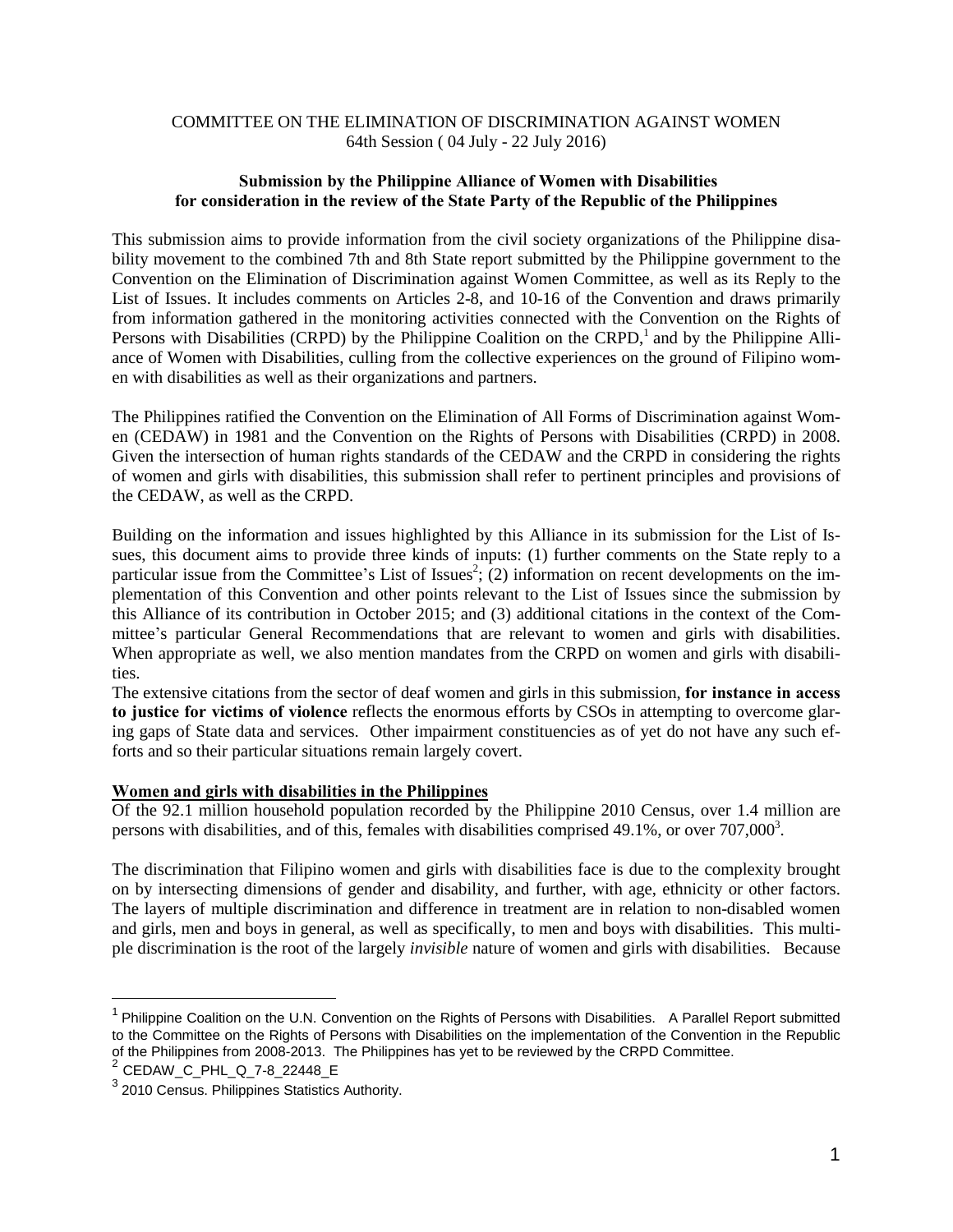## COMMITTEE ON THE ELIMINATION OF DISCRIMINATION AGAINST WOMEN 64th Session ( 04 July - 22 July 2016)

## **Submission by the Philippine Alliance of Women with Disabilities for consideration in the review of the State Party of the Republic of the Philippines**

This submission aims to provide information from the civil society organizations of the Philippine disability movement to the combined 7th and 8th State report submitted by the Philippine government to the Convention on the Elimination of Discrimination against Women Committee, as well as its Reply to the List of Issues. It includes comments on Articles 2-8, and 10-16 of the Convention and draws primarily from information gathered in the monitoring activities connected with the Convention on the Rights of Persons with Disabilities (CRPD) by the Philippine Coalition on the CRPD,<sup>1</sup> and by the Philippine Alliance of Women with Disabilities, culling from the collective experiences on the ground of Filipino women with disabilities as well as their organizations and partners.

The Philippines ratified the Convention on the Elimination of All Forms of Discrimination against Women (CEDAW) in 1981 and the Convention on the Rights of Persons with Disabilities (CRPD) in 2008. Given the intersection of human rights standards of the CEDAW and the CRPD in considering the rights of women and girls with disabilities, this submission shall refer to pertinent principles and provisions of the CEDAW, as well as the CRPD.

Building on the information and issues highlighted by this Alliance in its submission for the List of Issues, this document aims to provide three kinds of inputs: (1) further comments on the State reply to a particular issue from the Committee's List of Issues<sup>2</sup>; (2) information on recent developments on the implementation of this Convention and other points relevant to the List of Issues since the submission by this Alliance of its contribution in October 2015; and (3) additional citations in the context of the Committee's particular General Recommendations that are relevant to women and girls with disabilities. When appropriate as well, we also mention mandates from the CRPD on women and girls with disabilities.

The extensive citations from the sector of deaf women and girls in this submission, **for instance in access to justice for victims of violence** reflects the enormous efforts by CSOs in attempting to overcome glaring gaps of State data and services. Other impairment constituencies as of yet do not have any such efforts and so their particular situations remain largely covert.

## **Women and girls with disabilities in the Philippines**

Of the 92.1 million household population recorded by the Philippine 2010 Census, over 1.4 million are persons with disabilities, and of this, females with disabilities comprised 49.1%, or over  $707,000^3$ .

The discrimination that Filipino women and girls with disabilities face is due to the complexity brought on by intersecting dimensions of gender and disability, and further, with age, ethnicity or other factors. The layers of multiple discrimination and difference in treatment are in relation to non-disabled women and girls, men and boys in general, as well as specifically, to men and boys with disabilities. This multiple discrimination is the root of the largely *invisible* nature of women and girls with disabilities. Because

<sup>&</sup>lt;sup>1</sup> Philippine Coalition on the U.N. Convention on the Rights of Persons with Disabilities. A Parallel Report [submitted](http://crpdparallelreport.net.ph/?p=8) to the Committee on the Rights of Persons with Disabilities on the [implementation](http://crpdparallelreport.net.ph/?p=8) of the Convention in the Republic of the Philippines from [2008-2013.](http://crpdparallelreport.net.ph/?p=8) The Philippines has yet to be reviewed by the CRPD Committee.

<sup>2</sup> CEDAW\_C\_PHL\_Q\_7-8\_22448\_E

 $3$  2010 [Census.](https://psa.gov.ph/content/persons-disability-philippines-results-2010-census) Philippines Statistics Authority.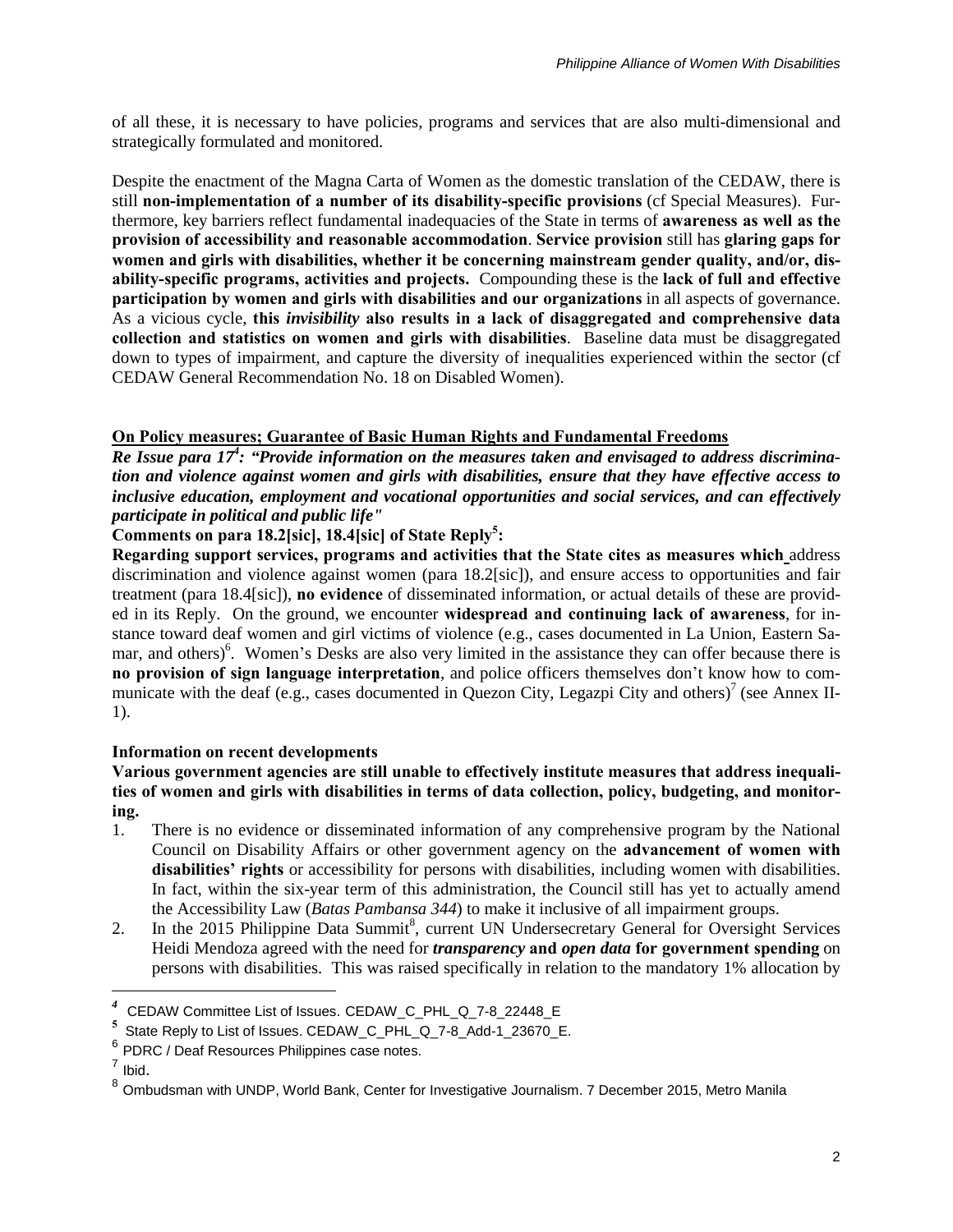of all these, it is necessary to have policies, programs and services that are also multi-dimensional and strategically formulated and monitored.

Despite the enactment of the Magna Carta of Women as the domestic translation of the CEDAW, there is still **non-implementation of a number of its disability-specific provisions** (cf Special Measures). Furthermore, key barriers reflect fundamental inadequacies of the State in terms of **awareness as well as the provision of accessibility and reasonable accommodation**. **Service provision** still has **glaring gaps for women and girls with disabilities, whether it be concerning mainstream gender quality, and/or, disability-specific programs, activities and projects.** Compounding these is the **lack of full and effective participation by women and girls with disabilities and our organizations** in all aspects of governance. As a vicious cycle, **this** *invisibility* **also results in a lack of disaggregated and comprehensive data collection and statistics on women and girls with disabilities**. Baseline data must be disaggregated down to types of impairment, and capture the diversity of inequalities experienced within the sector (cf CEDAW General Recommendation No. 18 on Disabled Women).

## **On Policy measures; Guarantee of Basic Human Rights and Fundamental Freedoms**

*Re Issue para 17<sup>4</sup> : "Provide information on the measures taken and envisaged to address discrimination and violence against women and girls with disabilities, ensure that they have effective access to inclusive education, employment and vocational opportunities and social services, and can effectively participate in political and public life"*

# **Comments on para 18.2[sic], 18.4[sic] of State Reply<sup>5</sup> :**

**Regarding support services, programs and activities that the State cites as measures which** address discrimination and violence against women (para 18.2[sic]), and ensure access to opportunities and fair treatment (para 18.4[sic]), **no evidence** of disseminated information, or actual details of these are provided in its Reply. On the ground, we encounter **widespread and continuing lack of awareness**, for instance toward deaf women and girl victims of violence (e.g., cases documented in La Union, Eastern Samar, and others)<sup>6</sup>. Women's Desks are also very limited in the assistance they can offer because there is **no provision of sign language interpretation**, and police officers themselves don't know how to communicate with the deaf (e.g., cases documented in Quezon City, Legazpi City and others)<sup>7</sup> (see Annex II-1).

## **Information on recent developments**

**Various government agencies are still unable to effectively institute measures that address inequalities of women and girls with disabilities in terms of data collection, policy, budgeting, and monitoring.**

- 1. There is no evidence or disseminated information of any comprehensive program by the National Council on Disability Affairs or other government agency on the **advancement of women with disabilities' rights** or accessibility for persons with disabilities, including women with disabilities. In fact, within the six-year term of this administration, the Council still has yet to actually amend the Accessibility Law (*Batas Pambansa 344*) to make it inclusive of all impairment groups.
- 2. In the 2015 Philippine Data Summit<sup>8</sup>, current UN Undersecretary General for Oversight Services Heidi Mendoza agreed with the need for *transparency* **and** *open data* **for government spending** on persons with disabilities. This was raised specifically in relation to the mandatory 1% allocation by

*<sup>4</sup>* CEDAW Committee List of Issues. CEDAW\_C\_PHL\_Q\_7-8\_22448\_E

**<sup>5</sup>** State Reply to List of Issues. CEDAW\_C\_PHL\_Q\_7-8\_Add-1\_23670\_E.

 $^6$  PDRC / Deaf Resources Philippines case notes.

 $<sup>7</sup>$  Ibid.</sup>

<sup>8</sup> Ombudsman with UNDP, World Bank, Center for Investigative Journalism. 7 December 2015, Metro Manila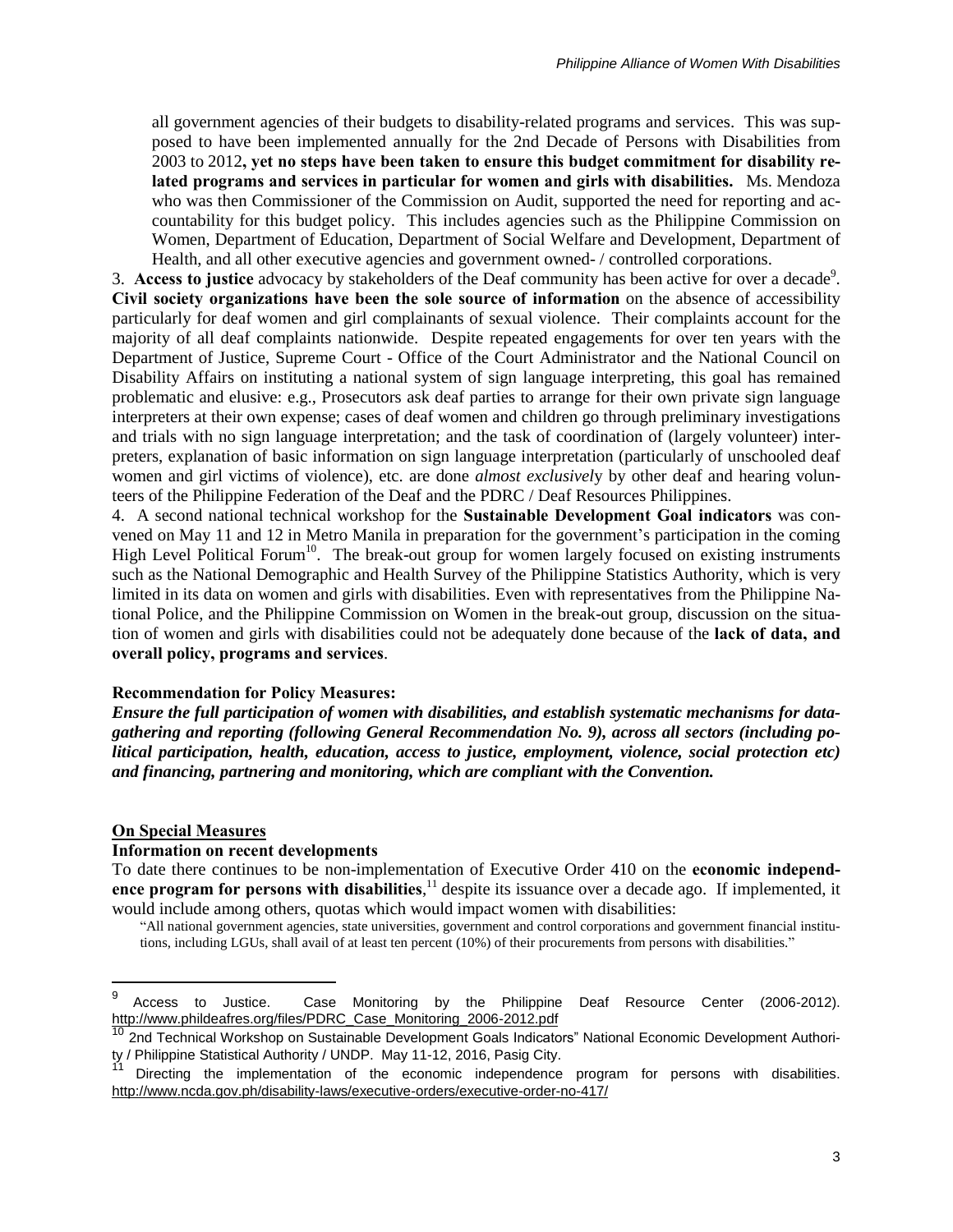all government agencies of their budgets to disability-related programs and services. This was supposed to have been implemented annually for the 2nd Decade of Persons with Disabilities from 2003 to 2012**, yet no steps have been taken to ensure this budget commitment for disability related programs and services in particular for women and girls with disabilities.** Ms. Mendoza who was then Commissioner of the Commission on Audit, supported the need for reporting and accountability for this budget policy. This includes agencies such as the Philippine Commission on Women, Department of Education, Department of Social Welfare and Development, Department of Health, and all other executive agencies and government owned- / controlled corporations.

3. Access to justice advocacy by stakeholders of the Deaf community has been active for over a decade<sup>9</sup>. **Civil society organizations have been the sole source of information** on the absence of accessibility particularly for deaf women and girl complainants of sexual violence. Their complaints account for the majority of all deaf complaints nationwide. Despite repeated engagements for over ten years with the Department of Justice, Supreme Court - Office of the Court Administrator and the National Council on Disability Affairs on instituting a national system of sign language interpreting, this goal has remained problematic and elusive: e.g., Prosecutors ask deaf parties to arrange for their own private sign language interpreters at their own expense; cases of deaf women and children go through preliminary investigations and trials with no sign language interpretation; and the task of coordination of (largely volunteer) interpreters, explanation of basic information on sign language interpretation (particularly of unschooled deaf women and girl victims of violence), etc. are done *almost exclusivel*y by other deaf and hearing volunteers of the Philippine Federation of the Deaf and the PDRC / Deaf Resources Philippines.

4. A second national technical workshop for the **Sustainable Development Goal indicators** was convened on May 11 and 12 in Metro Manila in preparation for the government's participation in the coming High Level Political Forum<sup>10</sup>. The break-out group for women largely focused on existing instruments such as the National Demographic and Health Survey of the Philippine Statistics Authority, which is very limited in its data on women and girls with disabilities. Even with representatives from the Philippine National Police, and the Philippine Commission on Women in the break-out group, discussion on the situation of women and girls with disabilities could not be adequately done because of the **lack of data, and overall policy, programs and services**.

#### **Recommendation for Policy Measures:**

*Ensure the full participation of women with disabilities, and establish systematic mechanisms for datagathering and reporting (following General Recommendation No. 9), across all sectors (including political participation, health, education, access to justice, employment, violence, social protection etc) and financing, partnering and monitoring, which are compliant with the Convention.*

### **On Special Measures**

 $\overline{a}$ 

### **Information on recent developments**

To date there continues to be non-implementation of Executive Order 410 on the **economic independence program for persons with disabilities**, <sup>11</sup> despite its issuance over a decade ago. If implemented, it would include among others, quotas which would impact women with disabilities:

"All national government agencies, state universities, government and control corporations and government financial institutions, including LGUs, shall avail of at least ten percent (10%) of their procurements from persons with disabilities."

<sup>9</sup> Access to Justice. Case Monitoring by the Philippine Deaf Resource Center (2006-2012). [http://www.phildeafres.org/files/PDRC\\_Case\\_Monitoring\\_2006-2012.pdf](http://www.phildeafres.org/files/PDRC_Case_Monitoring_2006-2012.pdf)

<sup>2</sup>nd Technical Workshop on Sustainable Development Goals Indicators" National Economic Development Authority / Philippine Statistical Authority / UNDP. May 11-12, 2016, Pasig City.

Directing the implementation of the economic independence program for persons with disabilities. <http://www.ncda.gov.ph/disability-laws/executive-orders/executive-order-no-417/>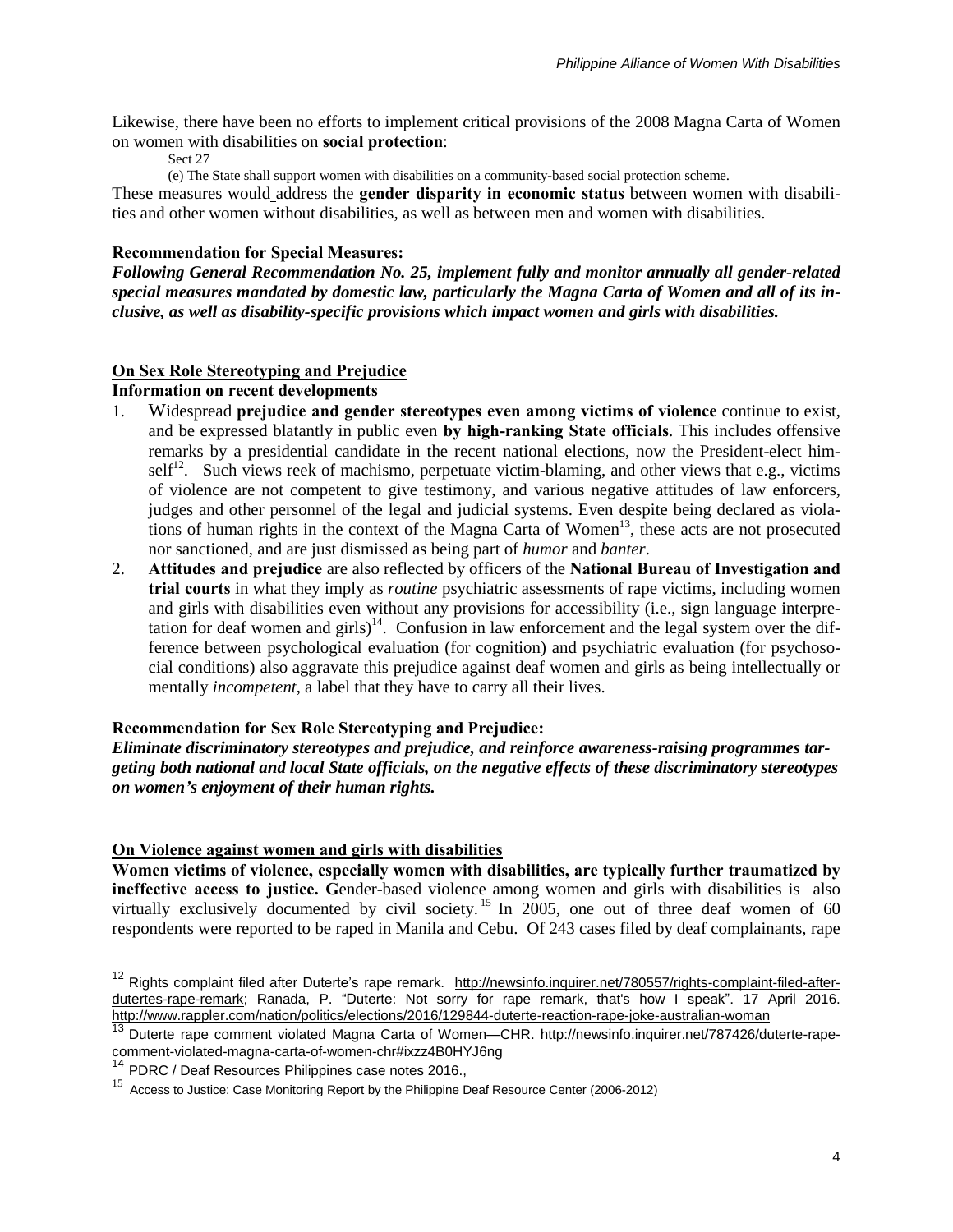Likewise, there have been no efforts to implement critical provisions of the 2008 Magna Carta of Women on women with disabilities on **social protection**:

Sect 27

(e) The State shall support women with disabilities on a community-based social protection scheme.

These measures would address the **gender disparity in economic status** between women with disabilities and other women without disabilities, as well as between men and women with disabilities.

## **Recommendation for Special Measures:**

*Following General Recommendation No. 25, implement fully and monitor annually all gender-related special measures mandated by domestic law, particularly the Magna Carta of Women and all of its inclusive, as well as disability-specific provisions which impact women and girls with disabilities.*

## **On Sex Role Stereotyping and Prejudice**

## **Information on recent developments**

- 1. Widespread **prejudice and gender stereotypes even among victims of violence** continue to exist, and be expressed blatantly in public even **by high-ranking State officials**. This includes offensive remarks by a presidential candidate in the recent national elections, now the President-elect himself<sup>12</sup>. Such views reek of machismo, perpetuate victim-blaming, and other views that e.g., victims of violence are not competent to give testimony, and various negative attitudes of law enforcers, judges and other personnel of the legal and judicial systems. Even despite being declared as violations of human rights in the context of the Magna Carta of Women $13$ , these acts are not prosecuted nor sanctioned, and are just dismissed as being part of *humor* and *banter*.
- 2. **Attitudes and prejudice** are also reflected by officers of the **National Bureau of Investigation and trial courts** in what they imply as *routine* psychiatric assessments of rape victims, including women and girls with disabilities even without any provisions for accessibility (i.e., sign language interpretation for deaf women and girls)<sup>14</sup>. Confusion in law enforcement and the legal system over the difference between psychological evaluation (for cognition) and psychiatric evaluation (for psychosocial conditions) also aggravate this prejudice against deaf women and girls as being intellectually or mentally *incompetent*, a label that they have to carry all their lives.

## **Recommendation for Sex Role Stereotyping and Prejudice:**

*Eliminate discriminatory stereotypes and prejudice, and reinforce awareness-raising programmes targeting both national and local State officials, on the negative effects of these discriminatory stereotypes on women's enjoyment of their human rights.*

## **On Violence against women and girls with disabilities**

**Women victims of violence, especially women with disabilities, are typically further traumatized by ineffective access to justice. G**ender-based violence among women and girls with disabilities is also virtually exclusively documented by civil society.<sup>15</sup> In 2005, one out of three deaf women of 60 respondents were reported to be raped in Manila and Cebu. Of 243 cases filed by deaf complainants, rape

<sup>&</sup>lt;sup>12</sup> Rights complaint filed after Duterte's rape remark. [http://newsinfo.inquirer.net/780557/rights-complaint-filed-after](http://newsinfo.inquirer.net/780557/rights-complaint-filed-after-dutertes-rape-remark)[dutertes-rape-remark;](http://newsinfo.inquirer.net/780557/rights-complaint-filed-after-dutertes-rape-remark) Ranada, P. "Duterte: Not sorry for rape remark, that's how I speak". 17 April 2016. <http://www.rappler.com/nation/politics/elections/2016/129844-duterte-reaction-rape-joke-australian-woman>

<sup>13</sup> Duterte rape comment violated Magna Carta of Women—CHR. [http://newsinfo.inquirer.net/787426/duterte-rape](http://newsinfo.inquirer.net/787426/duterte-rape-comment-violated-magna-carta-of-women-chr#ixzz4B0HYJ6ng)[comment-violated-magna-carta-of-women-chr#ixzz4B0HYJ6ng](http://newsinfo.inquirer.net/787426/duterte-rape-comment-violated-magna-carta-of-women-chr#ixzz4B0HYJ6ng)

<sup>&</sup>lt;sup>14</sup> PDRC / Deaf Resources Philippines case notes 2016.,

<sup>&</sup>lt;sup>15</sup> Access to Justice: Case Monitoring Report by the Philippine Deaf Resource Center [\(2006-2012\)](http://www.phildeafres.org/pdf/pdrc_case_monitoring.pdf)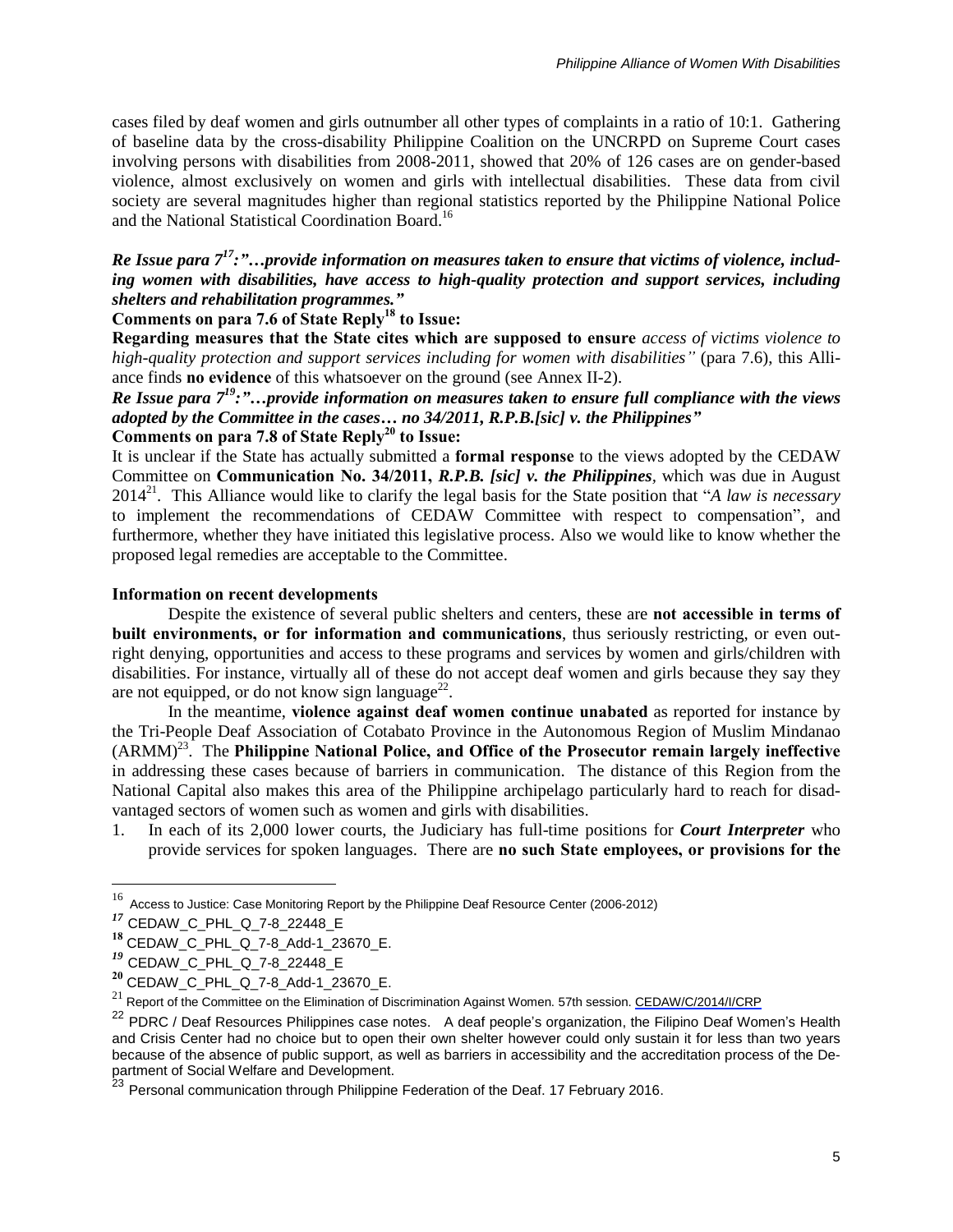cases filed by deaf women and girls outnumber all other types of complaints in a ratio of 10:1. Gathering of baseline data by the cross-disability Philippine Coalition on the UNCRPD on Supreme Court cases involving persons with disabilities from 2008-2011, showed that 20% of 126 cases are on gender-based violence, almost exclusively on women and girls with intellectual disabilities. These data from civil society are several magnitudes higher than regional statistics reported by the Philippine National Police and the National Statistical Coordination Board.<sup>16</sup>

## *Re Issue para 7 <sup>17</sup>:"…provide information on measures taken to ensure that victims of violence, including women with disabilities, have access to high-quality protection and support services, including shelters and rehabilitation programmes."*

## **Comments on para 7.6 of State Reply<sup>18</sup> to Issue:**

**Regarding measures that the State cites which are supposed to ensure** *access of victims violence to high-quality protection and support services including for women with disabilities"* (para 7.6), this Alliance finds **no evidence** of this whatsoever on the ground (see Annex II-2).

*Re Issue para 7 <sup>19</sup>:"…provide information on measures taken to ensure full compliance with the views adopted by the Committee in the cases… no 34/2011, R.P.B.[sic] v. the Philippines"*

# **Comments on para 7.8 of State Reply<sup>20</sup> to Issue:**

It is unclear if the State has actually submitted a **formal response** to the views adopted by the CEDAW Committee on **Communication No. 34/2011,** *R.P.B. [sic] v. the Philippines,* which was due in August 2014<sup>21</sup> . This Alliance would like to clarify the legal basis for the State position that "*A law is necessary* to implement the recommendations of CEDAW Committee with respect to compensation", and furthermore, whether they have initiated this legislative process. Also we would like to know whether the proposed legal remedies are acceptable to the Committee.

## **Information on recent developments**

Despite the existence of several public shelters and centers, these are **not accessible in terms of built environments, or for information and communications**, thus seriously restricting, or even outright denying, opportunities and access to these programs and services by women and girls/children with disabilities. For instance, virtually all of these do not accept deaf women and girls because they say they are not equipped, or do not know sign language<sup>22</sup>.

In the meantime, **violence against deaf women continue unabated** as reported for instance by the Tri-People Deaf Association of Cotabato Province in the Autonomous Region of Muslim Mindanao (ARMM)<sup>23</sup> . The **Philippine National Police, and Office of the Prosecutor remain largely ineffective** in addressing these cases because of barriers in communication. The distance of this Region from the National Capital also makes this area of the Philippine archipelago particularly hard to reach for disadvantaged sectors of women such as women and girls with disabilities.

1. In each of its 2,000 lower courts, the Judiciary has full-time positions for *Court Interpreter* who provide services for spoken languages. There are **no such State employees, or provisions for the**

<sup>&</sup>lt;sup>16</sup> Access to Justice: Case Monitoring Report by the Philippine Deaf Resource Center [\(2006-2012\)](http://www.phildeafres.org/pdf/pdrc_case_monitoring.pdf)

*<sup>17</sup>* CEDAW\_C\_PHL\_Q\_7-8\_22448\_E

**<sup>18</sup>** CEDAW\_C\_PHL\_Q\_7-8\_Add-1\_23670\_E.

*<sup>19</sup>* CEDAW\_C\_PHL\_Q\_7-8\_22448\_E

**<sup>20</sup>** CEDAW\_C\_PHL\_Q\_7-8\_Add-1\_23670\_E.

<sup>21</sup> Report of the Committee on the Elimination of Discrimination Against Women. 57th session. [CEDAW/C/2014/I/CRP](http://tbinternet.ohchr.org/Treaties/CEDAW/Shared%2525252520Documents/1_Global/INT_CEDAW_SED_57_21765_E.pdf)

<sup>&</sup>lt;sup>22</sup> PDRC / Deaf Resources Philippines case notes. A deaf people's organization, the Filipino Deaf Women's Health and Crisis Center had no choice but to open their own shelter however could only sustain it for less than two years because of the absence of public support, as well as barriers in accessibility and the accreditation process of the Department of Social Welfare and Development.

<sup>&</sup>lt;sup>23</sup> Personal communication through Philippine Federation of the Deaf. 17 February 2016.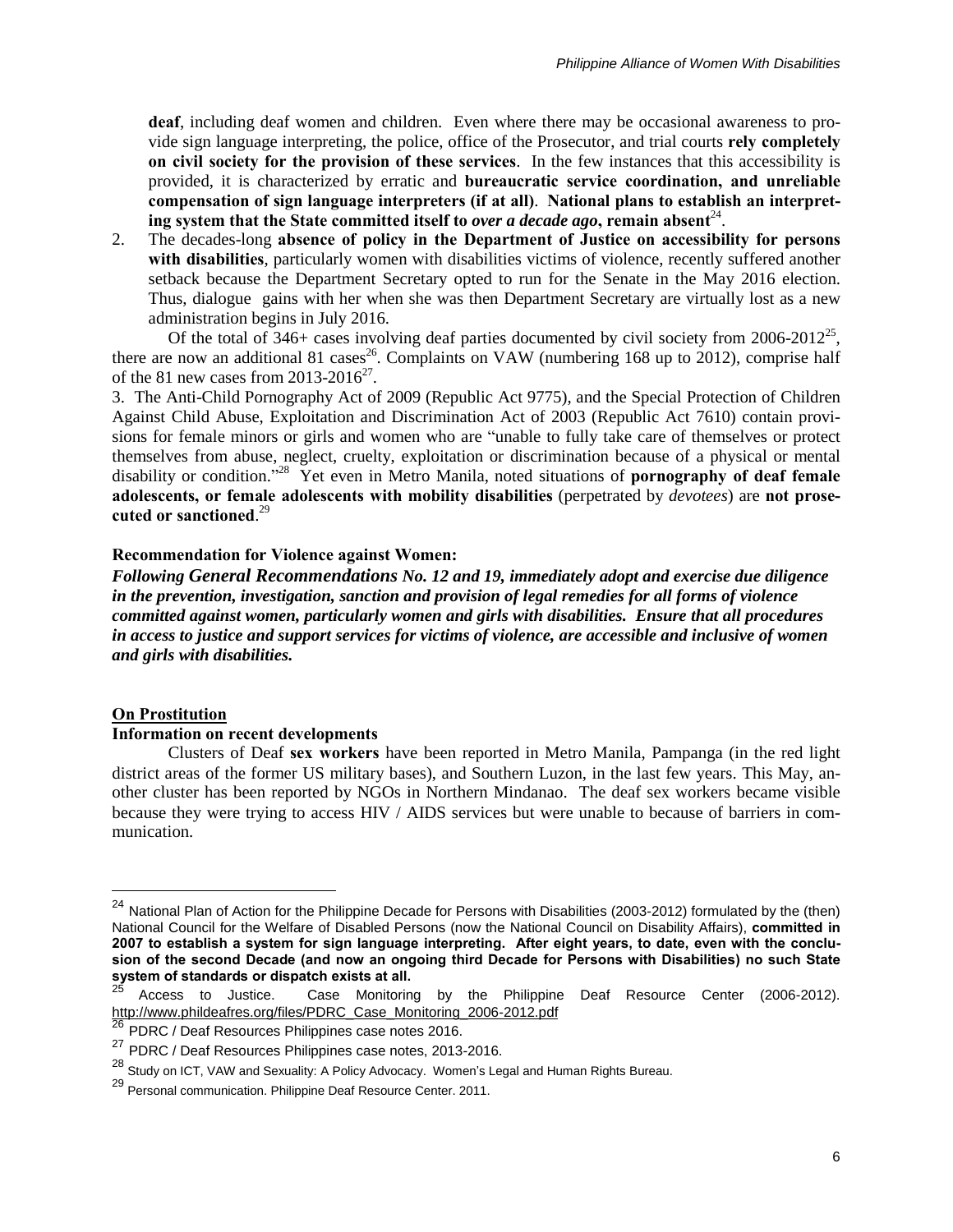**deaf**, including deaf women and children. Even where there may be occasional awareness to provide sign language interpreting, the police, office of the Prosecutor, and trial courts **rely completely on civil society for the provision of these services**. In the few instances that this accessibility is provided, it is characterized by erratic and **bureaucratic service coordination, and unreliable compensation of sign language interpreters (if at all)**. **National plans to establish an interpreting system that the State committed itself to** *over a decade ago***, remain absent**<sup>24</sup> .

2. The decades-long **absence of policy in the Department of Justice on accessibility for persons with disabilities**, particularly women with disabilities victims of violence, recently suffered another setback because the Department Secretary opted to run for the Senate in the May 2016 election. Thus, dialogue gains with her when she was then Department Secretary are virtually lost as a new administration begins in July 2016.

Of the total of  $346+$  cases involving deaf parties documented by civil society from  $2006-2012^{25}$ , there are now an additional 81 cases<sup>26</sup>. Complaints on VAW (numbering 168 up to 2012), comprise half of the 81 new cases from  $2013-2016^{27}$ .

3. The Anti-Child Pornography Act of 2009 (Republic Act 9775), and the Special Protection of Children Against Child Abuse, Exploitation and Discrimination Act of 2003 (Republic Act 7610) contain provisions for female minors or girls and women who are "unable to fully take care of themselves or protect themselves from abuse, neglect, cruelty, exploitation or discrimination because of a physical or mental disability or condition." 28 Yet even in Metro Manila, noted situations of **pornography of deaf female adolescents, or female adolescents with mobility disabilities** (perpetrated by *devotees*) are **not prosecuted or sanctioned**. 29

#### **Recommendation for Violence against Women:**

*Following General Recommendations No. 12 and 19, immediately adopt and exercise due diligence in the prevention, investigation, sanction and provision of legal remedies for all forms of violence committed against women, particularly women and girls with disabilities. Ensure that all procedures in access to justice and support services for victims of violence, are accessible and inclusive of women and girls with disabilities.*

#### **On Prostitution**

 $\overline{a}$ 

### **Information on recent developments**

Clusters of Deaf **sex workers** have been reported in Metro Manila, Pampanga (in the red light district areas of the former US military bases), and Southern Luzon, in the last few years. This May, another cluster has been reported by NGOs in Northern Mindanao. The deaf sex workers became visible because they were trying to access HIV / AIDS services but were unable to because of barriers in communication.

 $^{24}$  National Plan of Action for the Philippine Decade for Persons with Disabilities (2003-2012) formulated by the (then) National Council for the Welfare of Disabled Persons (now the National Council on Disability Affairs), **committed in** 2007 to establish a system for sign language interpreting. After eight years, to date, even with the conclusion of the second Decade (and now an ongoing third Decade for Persons with Disabilities) no such State **system of standards or dispatch exists at all.**

<sup>25</sup> Access to Justice. Case Monitoring by the Philippine Deaf Resource Center (2006-2012). [http://www.phildeafres.org/files/PDRC\\_Case\\_Monitoring\\_2006-2012.pdf](http://www.phildeafres.org/files/PDRC_Case_Monitoring_2006-2012.pdf)

<sup>26</sup> PDRC / Deaf Resources Philippines case notes 2016.

<sup>27</sup> PDRC / Deaf Resources Philippines case notes, 2013-2016.

<sup>&</sup>lt;sup>28</sup> Study on ICT, VAW and Sexuality: A Policy [Advocacy.](https://womenslegalbureau.wordpress.com/publications/) Women's Legal and Human Rights Bureau.

<sup>29</sup> Personal communication. Philippine Deaf Resource Center. 2011.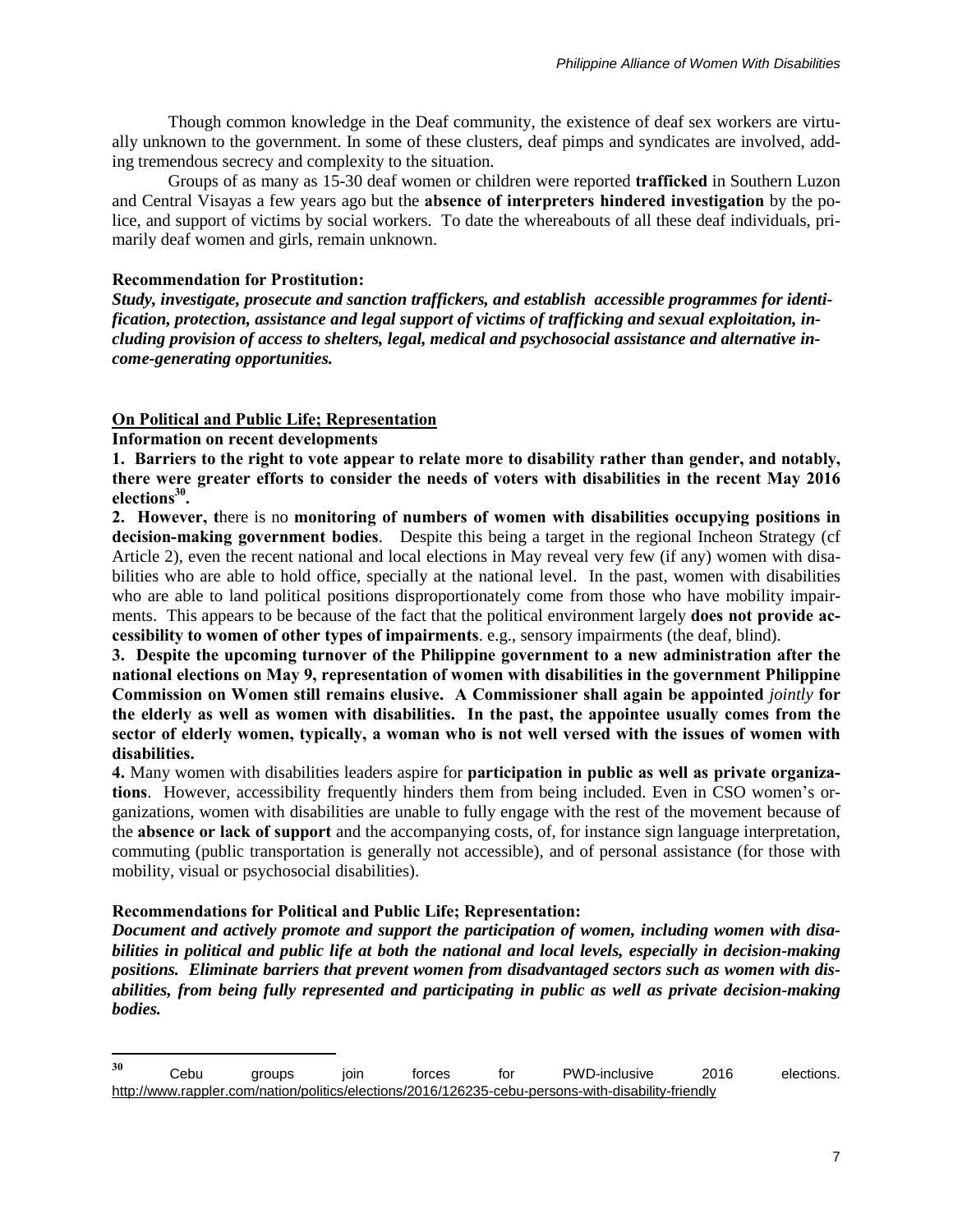Though common knowledge in the Deaf community, the existence of deaf sex workers are virtually unknown to the government. In some of these clusters, deaf pimps and syndicates are involved, adding tremendous secrecy and complexity to the situation.

Groups of as many as 15-30 deaf women or children were reported **trafficked** in Southern Luzon and Central Visayas a few years ago but the **absence of interpreters hindered investigation** by the police, and support of victims by social workers. To date the whereabouts of all these deaf individuals, primarily deaf women and girls, remain unknown.

## **Recommendation for Prostitution:**

*Study, investigate, prosecute and sanction traffickers, and establish accessible programmes for identification, protection, assistance and legal support of victims of trafficking and sexual exploitation, including provision of access to shelters, legal, medical and psychosocial assistance and alternative income-generating opportunities.*

# **On Political and Public Life; Representation**

## **Information on recent developments**

**1. Barriers to the right to vote appear to relate more to disability rather than gender, and notably, there were greater efforts to consider the needs of voters with disabilities in the recent May 2016 elections<sup>30</sup> .**

**2. However, t**here is no **monitoring of numbers of women with disabilities occupying positions in decision-making government bodies**. Despite this being a target in the regional Incheon Strategy (cf Article 2), even the recent national and local elections in May reveal very few (if any) women with disabilities who are able to hold office, specially at the national level. In the past, women with disabilities who are able to land political positions disproportionately come from those who have mobility impairments. This appears to be because of the fact that the political environment largely **does not provide accessibility to women of other types of impairments**. e.g., sensory impairments (the deaf, blind).

**3. Despite the upcoming turnover of the Philippine government to a new administration after the national elections on May 9, representation of women with disabilities in the government Philippine Commission on Women still remains elusive. A Commissioner shall again be appointed** *jointly* **for the elderly as well as women with disabilities. In the past, the appointee usually comes from the sector of elderly women, typically, a woman who is not well versed with the issues of women with disabilities.**

**4.** Many women with disabilities leaders aspire for **participation in public as well as private organizations**. However, accessibility frequently hinders them from being included. Even in CSO women's organizations, women with disabilities are unable to fully engage with the rest of the movement because of the **absence or lack of support** and the accompanying costs, of, for instance sign language interpretation, commuting (public transportation is generally not accessible), and of personal assistance (for those with mobility, visual or psychosocial disabilities).

# **Recommendations for Political and Public Life; Representation:**

*Document and actively promote and support the participation of women, including women with disabilities in political and public life at both the national and local levels, especially in decision-making positions. Eliminate barriers that prevent women from disadvantaged sectors such as women with disabilities, from being fully represented and participating in public as well as private decision-making bodies.*

<sup>30</sup> **<sup>30</sup>** Cebu groups join forces for PWD-inclusive 2016 elections. <http://www.rappler.com/nation/politics/elections/2016/126235-cebu-persons-with-disability-friendly>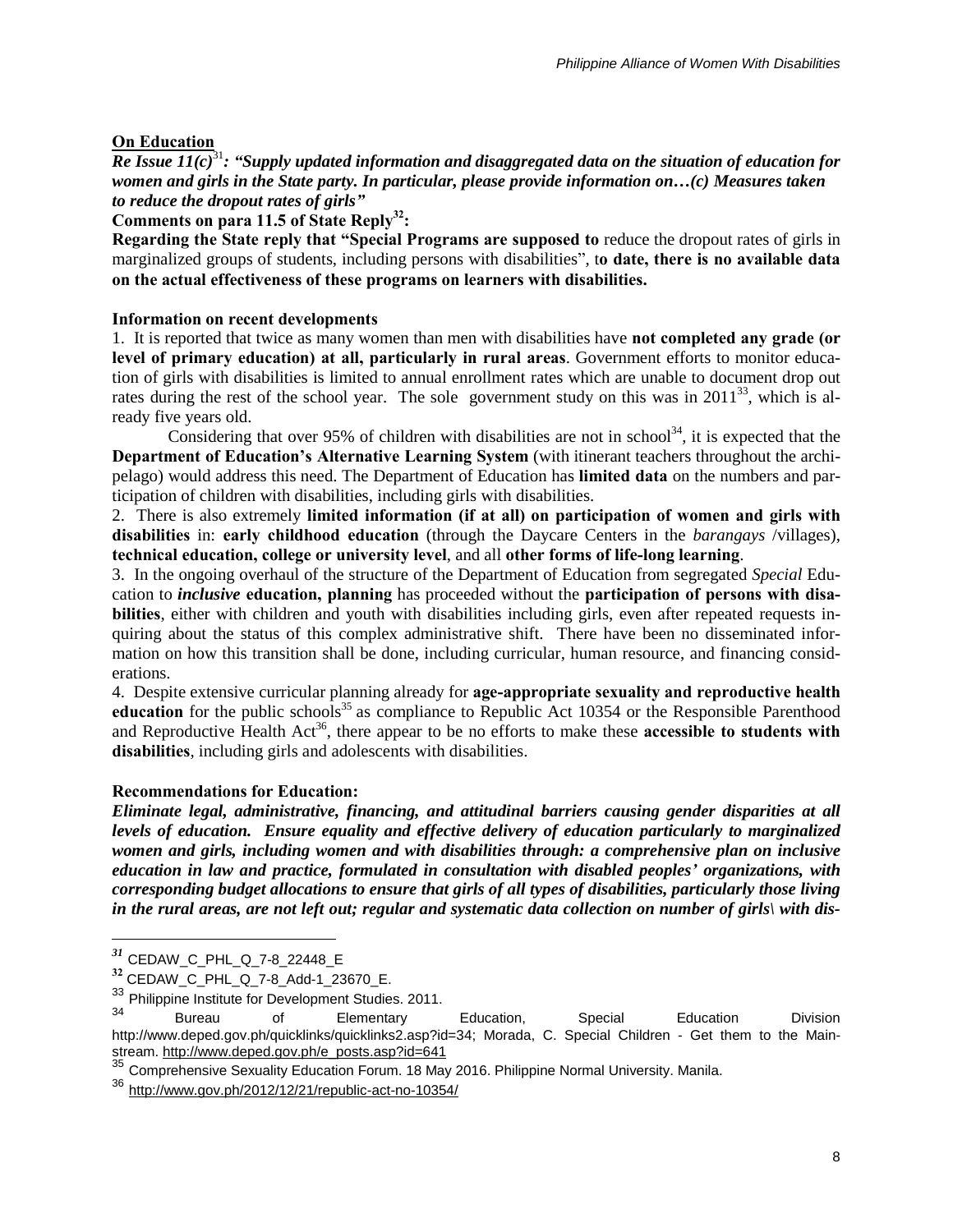# **On Education**

*Re Issue 11(c)*<sup>31</sup>*: "Supply updated information and disaggregated data on the situation of education for women and girls in the State party. In particular, please provide information on…(c) Measures taken to reduce the dropout rates of girls"*

**Comments on para 11.5 of State Reply<sup>32</sup>:**

**Regarding the State reply that "Special Programs are supposed to** reduce the dropout rates of girls in marginalized groups of students, including persons with disabilities", t**o date, there is no available data on the actual effectiveness of these programs on learners with disabilities.**

## **Information on recent developments**

1. It is reported that twice as many women than men with disabilities have **not completed any grade (or level of primary education) at all, particularly in rural areas**. Government efforts to monitor education of girls with disabilities is limited to annual enrollment rates which are unable to document drop out rates during the rest of the school year. The sole government study on this was in  $2011^{33}$ , which is already five years old.

Considering that over 95% of children with disabilities are not in school<sup>34</sup>, it is expected that the **Department of Education's Alternative Learning System** (with itinerant teachers throughout the archipelago) would address this need. The Department of Education has **limited data** on the numbers and participation of children with disabilities, including girls with disabilities.

2. There is also extremely **limited information (if at all) on participation of women and girls with disabilities** in: **early childhood education** (through the Daycare Centers in the *barangays* /villages), **technical education, college or university level**, and all **other forms of life-long learning**.

3. In the ongoing overhaul of the structure of the Department of Education from segregated *Special* Education to *inclusive* **education, planning** has proceeded without the **participation of persons with disabilities**, either with children and youth with disabilities including girls, even after repeated requests inquiring about the status of this complex administrative shift. There have been no disseminated information on how this transition shall be done, including curricular, human resource, and financing considerations.

4. Despite extensive curricular planning already for **age-appropriate sexuality and reproductive health education** for the public schools<sup>35</sup> as compliance to Republic Act 10354 or the Responsible Parenthood and Reproductive Health Act<sup>36</sup>, there appear to be no efforts to make these **accessible to students with disabilities**, including girls and adolescents with disabilities.

# **Recommendations for Education:**

*Eliminate legal, administrative, financing, and attitudinal barriers causing gender disparities at all levels of education. Ensure equality and effective delivery of education particularly to marginalized women and girls, including women and with disabilities through: a comprehensive plan on inclusive education in law and practice, formulated in consultation with disabled peoples' organizations, with corresponding budget allocations to ensure that girls of all types of disabilities, particularly those living* in the rural areas, are not left out; regular and systematic data collection on number of girls) with dis-

*<sup>31</sup>* CEDAW\_C\_PHL\_Q\_7-8\_22448\_E

**<sup>32</sup>** CEDAW\_C\_PHL\_Q\_7-8\_Add-1\_23670\_E.

 $\frac{33}{24}$  Philippine Institute for Development Studies. 2011.

<sup>&</sup>lt;sup>34</sup> Bureau of Elementary Education, Special Education Division http://www.deped.gov.ph/quicklinks/quicklinks2.asp?id=34; Morada, C. Special Children - Get them to the Mainstream. [http://www.deped.gov.ph/e\\_posts.asp?id=641](http://www.deped.gov.ph/e_posts.asp?id=641)

<sup>35</sup> Comprehensive Sexuality Education Forum. 18 May 2016. Philippine Normal University. Manila.

<sup>36</sup> <http://www.gov.ph/2012/12/21/republic-act-no-10354/>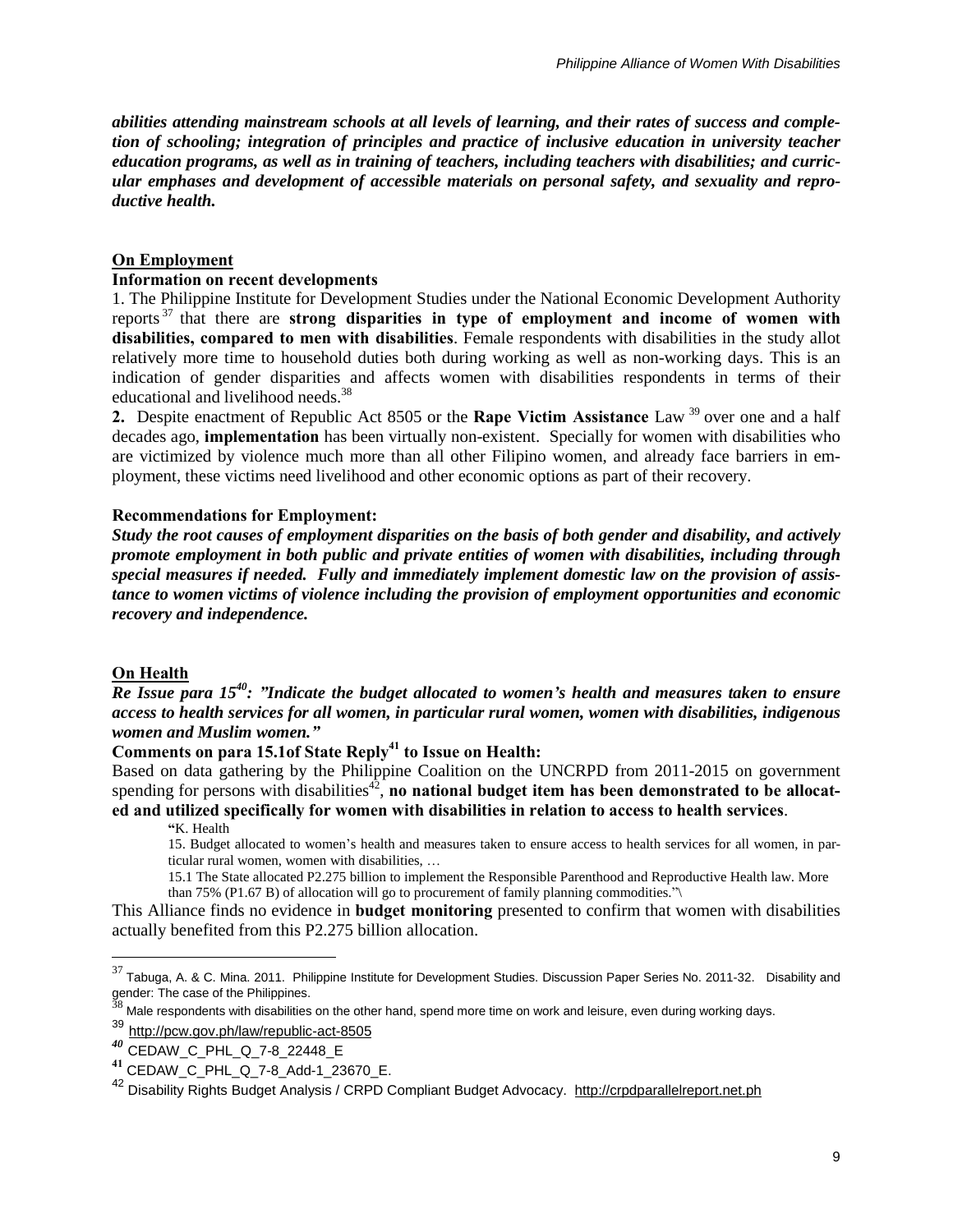*abilities attending mainstream schools at all levels of learning, and their rates of success and completion of schooling; integration of principles and practice of inclusive education in university teacher education programs, as well as in training of teachers, including teachers with disabilities; and curricular emphases and development of accessible materials on personal safety, and sexuality and reproductive health.*

### **On Employment**

### **Information on recent developments**

1. The Philippine Institute for Development Studies under the National Economic Development Authority reports <sup>37</sup> that there are **strong disparities in type of employment and income of women with disabilities, compared to men with disabilities**. Female respondents with disabilities in the study allot relatively more time to household duties both during working as well as non-working days. This is an indication of gender disparities and affects women with disabilities respondents in terms of their educational and livelihood needs.<sup>38</sup>

**2.** Despite enactment of Republic Act 8505 or the **Rape Victim Assistance** Law <sup>39</sup> over one and a half decades ago, **implementation** has been virtually non-existent. Specially for women with disabilities who are victimized by violence much more than all other Filipino women, and already face barriers in employment, these victims need livelihood and other economic options as part of their recovery.

### **Recommendations for Employment:**

*Study the root causes of employment disparities on the basis of both gender and disability, and actively promote employment in both public and private entities of women with disabilities, including through special measures if needed. Fully and immediately implement domestic law on the provision of assistance to women victims of violence including the provision of employment opportunities and economic recovery and independence.*

### **On Health**

 $\overline{a}$ 

*Re Issue para 15<sup>40</sup>: "Indicate the budget allocated to women's health and measures taken to ensure access to health services for all women, in particular rural women, women with disabilities, indigenous women and Muslim women."*

## **Comments on para 15.1of State Reply<sup>41</sup> to Issue on Health:**

Based on data gathering by the Philippine Coalition on the UNCRPD from 2011-2015 on government spending for persons with disabilities<sup>42</sup>, no national budget item has been demonstrated to be allocat**ed and utilized specifically for women with disabilities in relation to access to health services**.

**"**K. Health

15. Budget allocated to women's health and measures taken to ensure access to health services for all women, in particular rural women, women with disabilities, …

15.1 The State allocated P2.275 billion to implement the Responsible Parenthood and Reproductive Health law. More than 75% (P1.67 B) of allocation will go to procurement of family planning commodities."\

This Alliance finds no evidence in **budget monitoring** presented to confirm that women with disabilities actually benefited from this P2.275 billion allocation.

 $37$  Tabuga, A. & C. Mina. 2011. Philippine Institute for Development Studies. Discussion Paper Series No. 2011-32. [Disability](http://dirp3.pids.gov.ph/ris/dps/pidsdps1132.pdf) and gender: The case of the [Philippines.](http://dirp3.pids.gov.ph/ris/dps/pidsdps1132.pdf)<br>38...

Male respondents with disabilities on the other hand, spend more time on work and leisure, even during working days.

<sup>39</sup> <http://pcw.gov.ph/law/republic-act-8505>

*<sup>40</sup>* CEDAW\_C\_PHL\_Q\_7-8\_22448\_E

**<sup>41</sup>** CEDAW\_C\_PHL\_Q\_7-8\_Add-1\_23670\_E.

<sup>&</sup>lt;sup>42</sup> Disability Rights Budget Analysis / CRPD Compliant Budget Advocacy. [http://crpdparallelreport.net.ph](http://crpdparallelreport.net.ph/)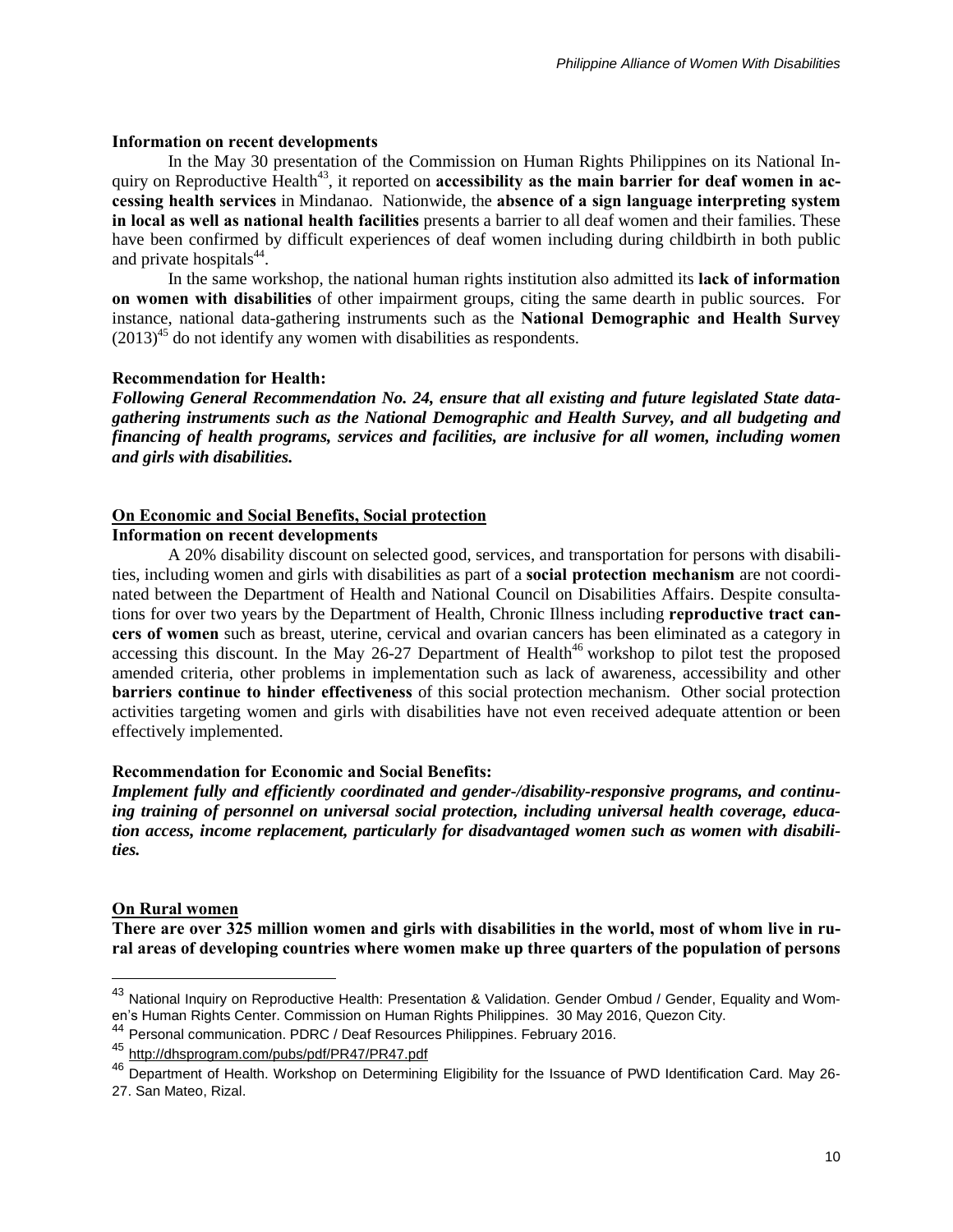#### **Information on recent developments**

In the May 30 presentation of the Commission on Human Rights Philippines on its National Inquiry on Reproductive Health<sup>43</sup>, it reported on **accessibility as the main barrier for deaf women in accessing health services** in Mindanao. Nationwide, the **absence of a sign language interpreting system in local as well as national health facilities** presents a barrier to all deaf women and their families. These have been confirmed by difficult experiences of deaf women including during childbirth in both public and private hospitals $44$ .

In the same workshop, the national human rights institution also admitted its **lack of information on women with disabilities** of other impairment groups, citing the same dearth in public sources. For instance, national data-gathering instruments such as the **National Demographic and Health Survey**  $(2013)^{45}$  do not identify any women with disabilities as respondents.

#### **Recommendation for Health:**

*Following General Recommendation No. 24, ensure that all existing and future legislated State datagathering instruments such as the National Demographic and Health Survey, and all budgeting and financing of health programs, services and facilities, are inclusive for all women, including women and girls with disabilities.*

## **On Economic and Social Benefits, Social protection**

### **Information on recent developments**

A 20% disability discount on selected good, services, and transportation for persons with disabilities, including women and girls with disabilities as part of a **social protection mechanism** are not coordinated between the Department of Health and National Council on Disabilities Affairs. Despite consultations for over two years by the Department of Health, Chronic Illness including **reproductive tract cancers of women** such as breast, uterine, cervical and ovarian cancers has been eliminated as a category in accessing this discount. In the May 26-27 Department of Health<sup>46</sup> workshop to pilot test the proposed amended criteria, other problems in implementation such as lack of awareness, accessibility and other **barriers continue to hinder effectiveness** of this social protection mechanism. Other social protection activities targeting women and girls with disabilities have not even received adequate attention or been effectively implemented.

#### **Recommendation for Economic and Social Benefits:**

*Implement fully and efficiently coordinated and gender-/disability-responsive programs, and continuing training of personnel on universal social protection, including universal health coverage, education access, income replacement, particularly for disadvantaged women such as women with disabilities.*

### **On Rural women**

 $\overline{a}$ 

There are over 325 million women and girls with disabilities in the world, most of whom live in ru**ral areas of developing countries where women make up three quarters of the population of persons**

<sup>43</sup> National Inquiry on Reproductive Health: Presentation & Validation. Gender Ombud / Gender, Equality and Women's Human Rights Center. Commission on Human Rights Philippines. 30 May 2016, Quezon City.

<sup>44</sup> Personal communication. PDRC / Deaf Resources Philippines. February 2016.

<sup>45</sup> <http://dhsprogram.com/pubs/pdf/PR47/PR47.pdf>

<sup>&</sup>lt;sup>46</sup> Department of Health. Workshop on Determining Eligibility for the Issuance of PWD Identification Card. May 26-27. San Mateo, Rizal.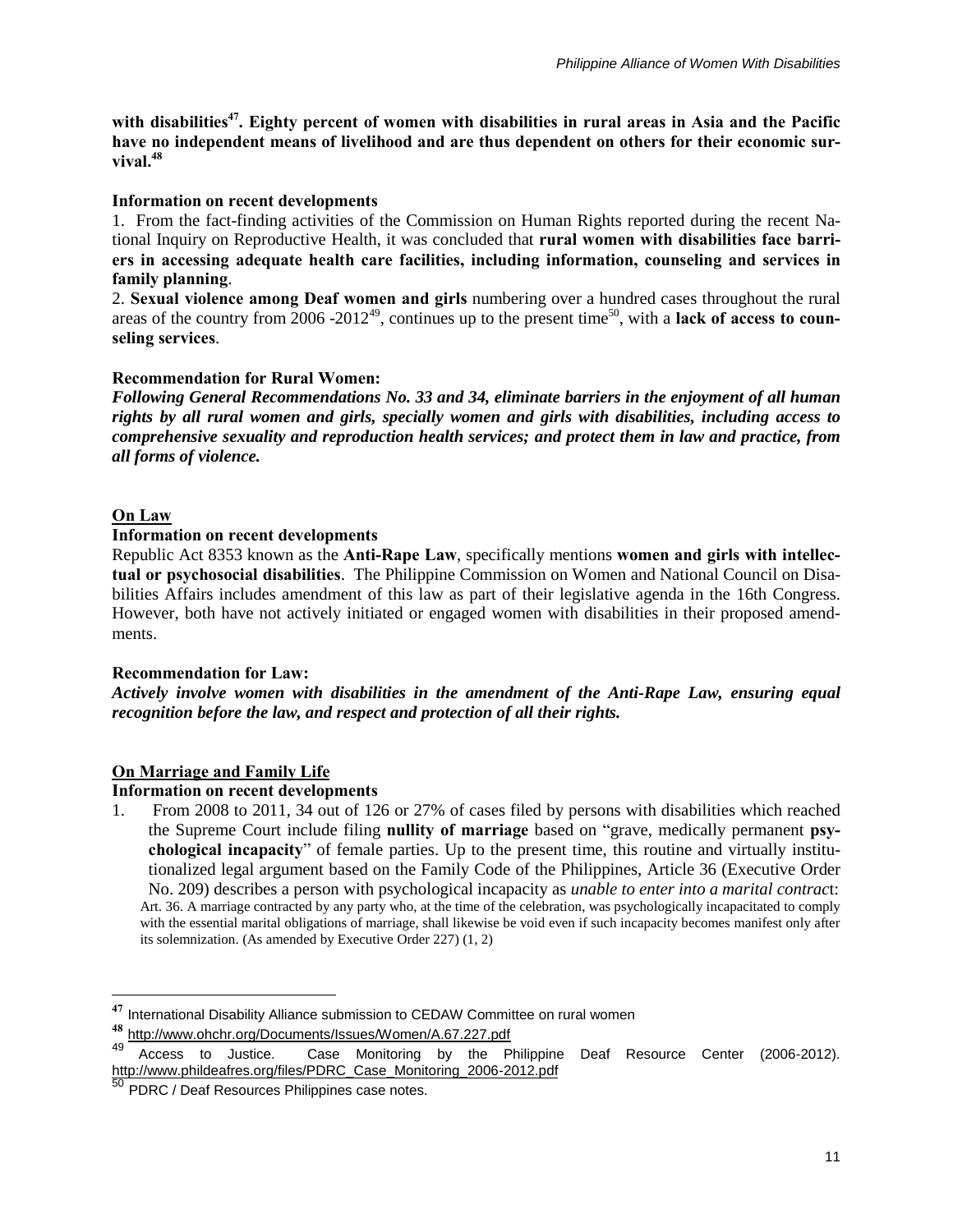with disabilities<sup>47</sup>. Eighty percent of women with disabilities in rural areas in Asia and the Pacific **have no independent means of livelihood and are thus dependent on others for their economic survival.<sup>48</sup>**

## **Information on recent developments**

1. From the fact-finding activities of the Commission on Human Rights reported during the recent National Inquiry on Reproductive Health, it was concluded that **rural women with disabilities face barriers in accessing adequate health care facilities, including information, counseling and services in family planning**.

2. **Sexual violence among Deaf women and girls** numbering over a hundred cases throughout the rural areas of the country from 2006 -2012<sup>49</sup>, continues up to the present time<sup>50</sup>, with a lack of access to coun**seling services**.

## **Recommendation for Rural Women:**

*Following General Recommendations No. 33 and 34, eliminate barriers in the enjoyment of all human rights by all rural women and girls, specially women and girls with disabilities, including access to comprehensive sexuality and reproduction health services; and protect them in law and practice, from all forms of violence.*

## **On Law**

 $\overline{a}$ 

### **Information on recent developments**

Republic Act 8353 known as the **Anti-Rape Law**, specifically mentions **women and girls with intellectual or psychosocial disabilities**. The Philippine Commission on Women and National Council on Disabilities Affairs includes amendment of this law as part of their legislative agenda in the 16th Congress. However, both have not actively initiated or engaged women with disabilities in their proposed amendments.

### **Recommendation for Law:**

*Actively involve women with disabilities in the amendment of the Anti-Rape Law, ensuring equal recognition before the law, and respect and protection of all their rights.*

## **On Marriage and Family Life**

## **Information on recent developments**

1. From 2008 to 2011, 34 out of 126 or 27% of cases filed by persons with disabilities which reached the Supreme Court include filing **nullity of marriage** based on "grave, medically permanent **psychological incapacity**" of female parties. Up to the present time, this routine and virtually institutionalized legal argument based on the Family Code of the Philippines, Article 36 (Executive Order No. 209) describes a person with psychological incapacity as *unable to enter into a marital contrac*t: Art. 36. A marriage contracted by any party who, at the time of the celebration, was psychologically incapacitated to comply with the essential marital obligations of marriage, shall likewise be void even if such incapacity becomes manifest only after its solemnization. (As amended by Executive Order 227) (1, 2)

**<sup>47</sup>** International Disability Alliance submission to CEDAW Committee on rural women

**<sup>48</sup>** <http://www.ohchr.org/Documents/Issues/Women/A.67.227.pdf>

Access to Justice. Case Monitoring by the Philippine Deaf Resource Center (2006-2012). [http://www.phildeafres.org/files/PDRC\\_Case\\_Monitoring\\_2006-2012.pdf](http://www.phildeafres.org/files/PDRC_Case_Monitoring_2006-2012.pdf)

<sup>50</sup> PDRC / Deaf Resources Philippines case notes.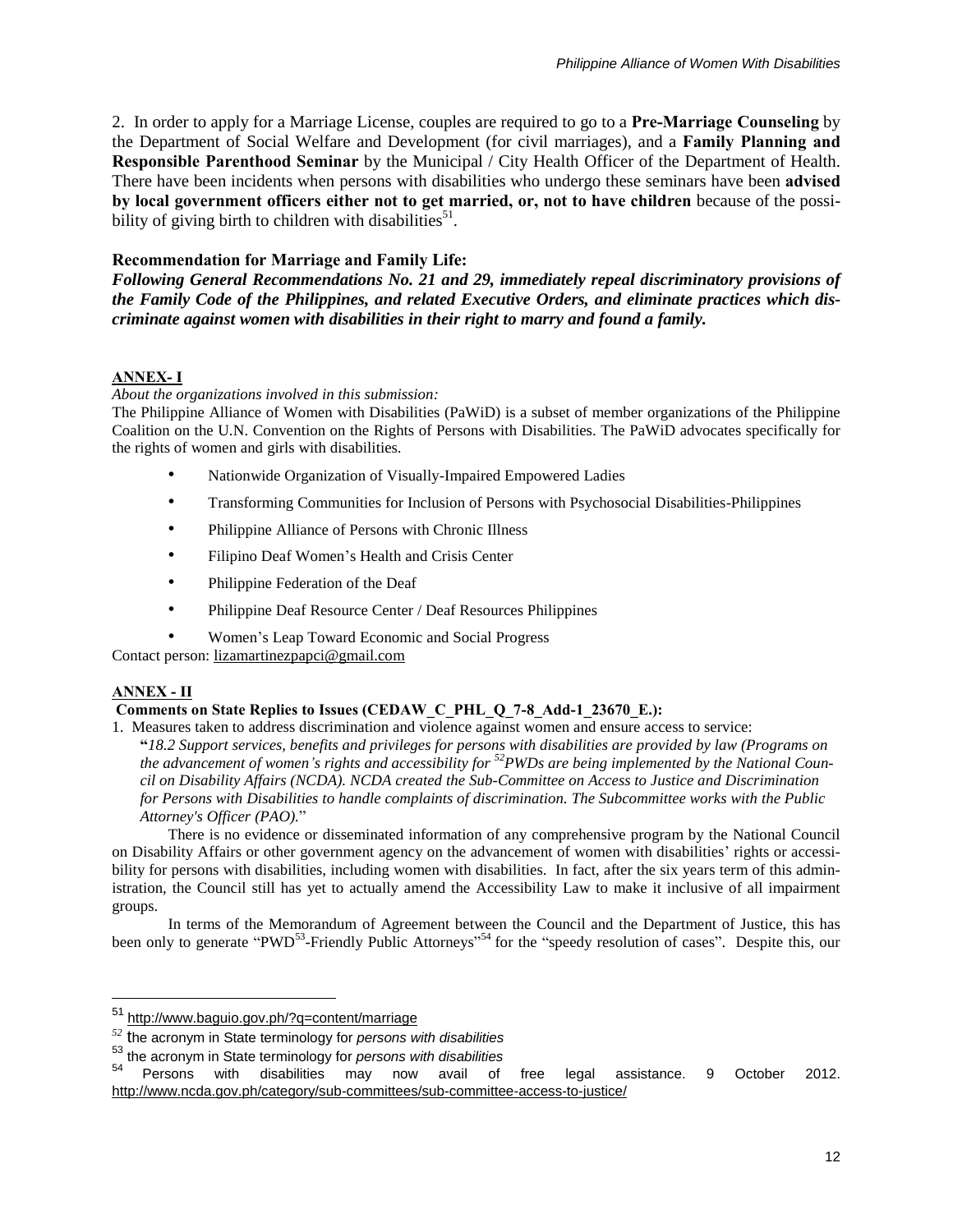2. In order to apply for a Marriage License, couples are required to go to a **Pre-Marriage Counseling** by the Department of Social Welfare and Development (for civil marriages), and a **Family Planning and Responsible Parenthood Seminar** by the Municipal / City Health Officer of the Department of Health. There have been incidents when persons with disabilities who undergo these seminars have been **advised by local government officers either not to get married, or, not to have children** because of the possibility of giving birth to children with disabilities<sup>51</sup>.

## **Recommendation for Marriage and Family Life:**

*Following General Recommendations No. 21 and 29, immediately repeal discriminatory provisions of the Family Code of the Philippines, and related Executive Orders, and eliminate practices which discriminate against women with disabilities in their right to marry and found a family.*

## **ANNEX- I**

*About the organizations involved in this submission:*

The Philippine Alliance of Women with Disabilities (PaWiD) is a subset of member organizations of the Philippine Coalition on the U.N. Convention on the Rights of Persons with Disabilities. The PaWiD advocates specifically for the rights of women and girls with disabilities.

- Nationwide Organization of Visually-Impaired Empowered Ladies
- Transforming Communities for Inclusion of Persons with Psychosocial Disabilities-Philippines
- Philippine Alliance of Persons with Chronic Illness
- Filipino Deaf Women's Health and Crisis Center
- Philippine Federation of the Deaf
- Philippine Deaf Resource Center / Deaf Resources Philippines
- Women's Leap Toward Economic and Social Progress

Contact person: [lizamartinezpapci@gmail.com](mailto:lizamartinezpapci@gmail.com)

## **ANNEX - II**

 $\overline{a}$ 

## **Comments on State Replies to Issues (CEDAW\_C\_PHL\_Q\_7-8\_Add-1\_23670\_E.):**

1.Measures taken to address discrimination and violence against women and ensure access to service:

"18.2 Support services, benefits and privileges for persons with disabilities are provided by law (Programs on the advancement of women's rights and accessibility for  ${}^{52}$ PWDs are being implemented by the National Coun*cil on Disability Affairs (NCDA). NCDA created the Sub-Committee on Access to Justice and Discrimination for Persons with Disabilities to handle complaints of discrimination. The Subcommittee works with the Public Attorney's Officer (PAO).*"

There is no evidence or disseminated information of any comprehensive program by the National Council on Disability Affairs or other government agency on the advancement of women with disabilities' rights or accessibility for persons with disabilities, including women with disabilities. In fact, after the six years term of this administration, the Council still has yet to actually amend the Accessibility Law to make it inclusive of all impairment groups.

In terms of the Memorandum of Agreement between the Council and the Department of Justice, this has been only to generate "PWD<sup>53</sup>-Friendly Public Attorneys"<sup>54</sup> for the "speedy resolution of cases". Despite this, our

<sup>51</sup> <http://www.baguio.gov.ph/?q=content/marriage>

*<sup>52</sup>* the acronym in State terminology for *persons with disabilities*

<sup>53</sup> the acronym in State terminology for *persons with disabilities*

<sup>54</sup> Persons with disabilities may now avail of free legal assistance. 9 October 2012. <http://www.ncda.gov.ph/category/sub-committees/sub-committee-access-to-justice/>